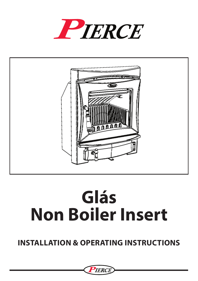



## **Glás Non Boiler Insert**

### **Installation & Operating Instructions**

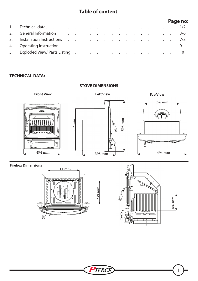#### **Table of content**

|                                   |  |  |  |  |  |  |  | Page no: |
|-----------------------------------|--|--|--|--|--|--|--|----------|
|                                   |  |  |  |  |  |  |  |          |
|                                   |  |  |  |  |  |  |  |          |
|                                   |  |  |  |  |  |  |  |          |
|                                   |  |  |  |  |  |  |  |          |
| 5. Exploded View/Parts Listing 10 |  |  |  |  |  |  |  |          |

#### **Technical Data:**



#### **Firebox Dimensions**





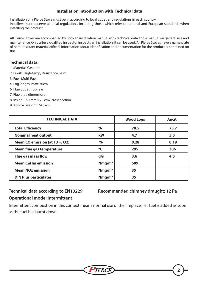#### **Installation introduction with Technical data**

Installation of a Pierce Stove must be in according to local codes and regulations in each country. Installers must observe all local regulations, including those which refer to national and European standards when installing the product.

All Pierce Stoves are accompanied by Both an installation manual with technical data and a manual on general use and maintenance. Only after a qualified inspector inspects an installation, it can be used. All Pierce Stoves have a name plate of heat -resistant material affixed. Information about identification and documentation for the product is contained on this.

#### **Technical data:**

- 1. Material: Cast iron
- 2. Finish: High-temp, Resistance paint
- 3. Fuel: Multi-Fuel
- 4. Log length, max: 30cm
- 6. Flue outlet: Top rear
- 7. Flue pipe dimension:
- 8. Inside: 150 mm/175 cm2 cross section
- 9. Approx. weight: 74.5kgs

| <b>TECHNICAL DATA</b>            |                    | <b>Wood Logs</b> | Ancit |
|----------------------------------|--------------------|------------------|-------|
| <b>Total Efficiency</b>          | $\%$               | 78.5             | 75.7  |
| <b>Nominal heat output</b>       | kW                 | 4.7              | 5.0   |
| Mean CO emission (at 13 % O2)    | $\%$               | 0.28             | 0.18  |
| <b>Mean flue gas temperature</b> | °C                 | 295              | 306   |
| <b>Flue gas mass flow</b>        | g/s                | 3.6              | 4.0   |
| <b>Mean CnHm emission</b>        | Nmg/m <sup>3</sup> | 509              |       |
| <b>Mean NOx emission</b>         | Nmg/m <sup>3</sup> | 35               |       |
| <b>DIN Plus particulates</b>     | Nmg/m <sup>3</sup> | 35               |       |

## **Operational mode: Intermittent**

**Technical data according to EN13229 Recommended chimney draught: 12 Pa**

#### Intermittent combustion in this context means normal use of the fireplace, i.e. fuel is added as soon as the fuel has burnt down.

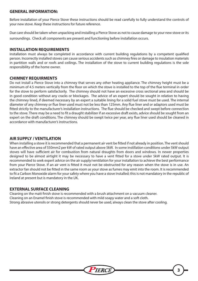#### **GENERAL INFORMATION:**

Before installation of your Pierce Stove these instructions should be read carefully to fully understand the controls of your new stove. Keep these instructions for future reference.

Due care should be taken when unpacking and installing a Pierce Stove as not to cause damage to your new stove or its surroundings. Check all components are present and functioning before installation occurs.

#### **INSTALLATION REQUIREMENTS**

Installation must always be completed in accordance with current building regulations by a competent qualified person. Incorrectly installed stoves can cause serious accidents such as chimney fires or damage to insulation materials in partition walls and or roofs and ceilings. The installation of the stove to current building regulations is the sole responsibility of the home owner.

#### **CHIMNEY REQUIRMENTS**

Do not install a Pierce Stove into a chimney that serves any other heating appliance. The chimney height must be a minimum of 4.5 meters vertically from the floor on which the stove is installed to the top of the flue terminal in order for the stove to perform satisfactorily. The chimney should not have an excessive cross sectional area and should be in good condition without any cracks or blockages. The advice of an expert should be sought in relation to having the chimney lined, if deemed necessary by an expert a suitable lining for a solid fuel stove must be used. The internal diameter of any chimney or flue liner used must not be less than 125mm. Any flue liner and or adaptors used must be fitted strictly to the manufacturer's installation instructions. The flue should be checked and swept before connection to the stove. There may be a need to fit a draught stabilizer if an excessive draft exists, advice should be sought from an expert on the draft conditions. The chimney should be swept twice per year, any flue liner used should be cleaned in accordance with manufacturer's instructions.

#### **AIR SUPPLY / VENTILATION**

When installing a stove it is recommended that a permanent air vent be fitted if not already in position. The vent should have an effective area of 550mm2 per kW of rated output above 5kW. In some instillation conditions under 5kW output stoves will have sufficient air for combustion from natural draughts from doors and windows. In newer properties designed to be almost airtight it may be necessary to have a vent fitted for a stove under 5kW rated output. It is recommended to seek expert advice on the air supply/ventilation for your installation to achieve the best performance from your Pierce Stove. If an air vent is fitted it must not be obstructed for any reason when the stove is in use. An extractor fan should not be fitted in the same room as your stove as fumes may emit into the room. It is recommended to fit a Carbon Monoxide alarm for your safety where you have a stove Installed; this is not mandatory in the republic of Ireland at present but is mandatory in the UK.

#### **EXTERNAL SURFACE CLEANING**

Cleaning on the matt finish stove is recommended with a brush attachment on a vacuum cleaner. Cleaning on an Enamel finish stove is recommended with mild soapy water and a soft cloth. Strong abrasive utensils or strong detergents should never be used, always clean the stove after cooling.

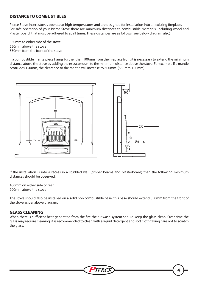#### **DISTANCE TO COMBUSTIBLES**

Pierce Stove insert stoves operate at high temperatures and are designed for installation into an existing fireplace. For safe operation of your Pierce Stove there are minimum distances to combustible materials, including wood and Plaster board, that must be adhered to at all times. These distances are as follows (see below diagram also)

350mm to either side of the stove 550mm above the stove 550mm from the front of the stove

If a combustible mantelpiece hangs further than 100mm from the fireplace front it is necessary to extend the minimum distance above the stove by adding the extra amount to the minimum distance above the stove. For example if a mantle protrudes 150mm, the clearance to the mantle will increase to 600mm. (550mm +50mm)



If the installation is into a recess in a studded wall (timber beams and plasterboard) then the following minimum distances should be observed;

400mm on either side or rear 600mm above the stove

The stove should also be installed on a solid non combustible base, this base should extend 350mm from the front of the stove as per above diagram.

#### **GLASS CLEANING**

When there is sufficient heat generated from the fire the air wash system should keep the glass clean. Over time the glass may require cleaning, it is recommended to clean with a liquid detergent and soft cloth taking care not to scratch the glass.

TERCH

**4**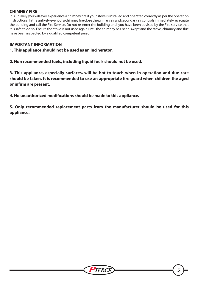#### **CHIMNEY FIRE**

It is unlikely you will ever experience a chimney fire if your stove is installed and operated correctly as per the operation instructions. In the unlikely event of a chimney fire close the primary air and secondary air controls immediately, evacuate the building and call the Fire Service. Do not re-enter the building until you have been advised by the Fire service that it is safe to do so. Ensure the stove is not used again until the chimney has been swept and the stove, chimney and flue have been inspected by a qualified competent person.

#### **IMPORTANT INFORMATION**

**1. This appliance should not be used as an Incinerator.**

**2. Non recommended fuels, including liquid fuels should not be used.**

**3. This appliance, especially surfaces, will be hot to touch when in operation and due care should be taken. It is recommended to use an appropriate fire guard when children the aged or infirm are present.**

**4. No unauthorized modifications should be made to this appliance.**

**5. Only recommended replacement parts from the manufacturer should be used for this appliance.**

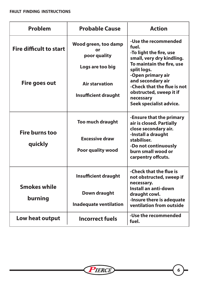| Problem                        | <b>Probable Cause</b>                      | <b>Action</b>                                                                         |  |  |  |  |
|--------------------------------|--------------------------------------------|---------------------------------------------------------------------------------------|--|--|--|--|
| <b>Fire difficult to start</b> | Wood green, too damp<br>or<br>poor quality | -Use the recommended<br>fuel.<br>-To light the fire, use<br>small, very dry kindling. |  |  |  |  |
|                                | Logs are too big                           | To maintain the fire, use<br>split logs.<br>-Open primary air                         |  |  |  |  |
| Fire goes out                  | <b>Air starvation</b>                      | and secondary air<br>-Check that the flue is not                                      |  |  |  |  |
|                                | <b>Insufficient draught</b>                | obstructed, sweep it if<br>necessary<br>Seek specialist advice.                       |  |  |  |  |
| <b>Fire burns too</b>          | <b>Too much draught</b>                    | -Ensure that the primary<br>air is closed. Partially<br>close secondary air.          |  |  |  |  |
| quickly                        | <b>Excessive draw</b>                      | -Install a draught<br>stabiliser.                                                     |  |  |  |  |
|                                | <b>Poor quality wood</b>                   | -Do not continuously<br>burn small wood or<br>carpentry offcuts.                      |  |  |  |  |
|                                | <b>Insufficient draught</b>                | -Check that the flue is<br>not obstructed, sweep if<br>necessary.                     |  |  |  |  |
| <b>Smokes while</b><br>burning | Down draught                               | Install an anti-down<br>draught cowl.                                                 |  |  |  |  |
|                                | <b>Inadequate ventilation</b>              | -Insure there is adequate<br>ventilation from outside                                 |  |  |  |  |
| Low heat output                | <b>Incorrect fuels</b>                     | -Use the recommended<br>fuel.                                                         |  |  |  |  |

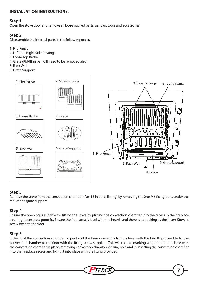#### **INSTALLATION INSTRUCTIONS:**

#### **Step 1**

Open the stove door and remove all loose packed parts, ashpan, tools and accessories.

#### **Step 2**

Disassemble the internal parts in the following order.

- 1. Fire Fence
- 2. Left and Right Side Castings
- 3. Loose Top Baffle
- 4. Grate (Riddling bar will need to be removed also)
- 5. Back Wall
- 6. Grate Support



#### **Step 3**

Remove the stove from the convection chamber (Part18 in parts listing) by removing the 2no M6 fixing bolts under the rear of the grate support.

#### **Step 4**

Ensure the opening is suitable for fitting the stove by placing the convection chamber into the recess in the fireplace opening to ensure a good fit. Ensure the floor area is level with the hearth and there is no rocking as the insert Stove is screw fixed to the floor.

#### **Step 5**

If the fit of the convection chamber is good and the base where it is to sit is level with the hearth proceed to fix the convection chamber to the floor with the fixing screw supplied. This will require marking where to drill the hole with the convection chamber in place, removing convection chamber, drilling hole and re inserting the convection chamber into the fireplace recess and fixing it into place with the fixing provided.

**TERCH** 

**7**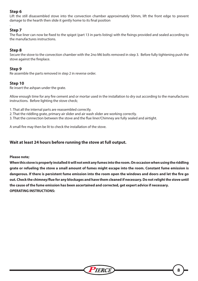#### **Step 6**

Lift the still disassembled stove into the convection chamber approximately 50mm, lift the front edge to prevent damage to the hearth then slide it gently home to its final position

#### **Step 7**

.

The flue liner can now be fixed to the spigot (part 13 in parts listing) with the fixings provided and sealed according to the manufactures instructions.

#### **Step 8**

Secure the stove to the convection chamber with the 2no M6 bolts removed in step 3. Before fully tightening push the stove against the fireplace.

#### **Step 9**

Re assemble the parts removed in step 2 in reverse order.

#### **Step 10**

Re insert the ashpan under the grate.

Allow enough time for any fire cement and or mortar used in the installation to dry out according to the manufactures instructions. Before lighting the stove check;

1. That all the internal parts are reassembled correctly.

- 2. That the riddling grate, primary air slider and air wash slider are working correctly.
- 3. That the connection between the stove and the flue liner/Chimney are fully sealed and airtight.

A small fire may then be lit to check the installation of the stove.

#### **Wait at least 24 hours before running the stove at full output.**

**Please note;**

**When this stove is properly installed it will not emit any fumes into the room. On occasion when using the riddling grate or refueling the stove a small amount of fumes might escape into the room. Constant fume emission is dangerous. If there is persistent fume emission into the room open the windows and doors and let the fire go out. Check the chimney/flue for any blockages and have them cleaned if necessary. Do not relight the stove until the cause of the fume emission has been ascertained and corrected, get expert advice if necessary. OPERATING INSTRUCTIONS:**

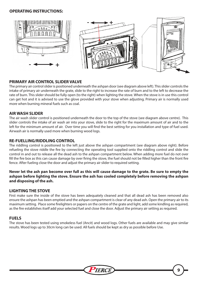#### **OPERATING INSTRUCTIONS:**



#### **PRIMARY AIR CONTROL SLIDER VALVE**

The primary air control slider is positioned underneath the ashpan door (see diagram above left). This slider controls the intake of primary air underneath the grate, slide to the right to increase the rate of burn and to the left to decrease the rate of burn. This slider should be fully open (to the right) when lighting the stove. When the stove is in use this control can get hot and it is advised to use the glove provided with your stove when adjusting. Primary air is normally used more when burning mineral fuels such as coal.

#### **AIR WASH SLIDER**

The air wash slider control is positioned underneath the door to the top of the stove (see diagram above centre). This slider controls the intake of air wash air into your stove, slide to the right for the maximum amount of air and to the left for the minimum amount of air. Over time you will find the best setting for you installation and type of fuel used. Airwash air is normally used more when burning wood logs.

#### **RE-FUELLING/RIDDLING CONTROL**

The riddling control is positioned to the left just above the ashpan compartment (see diagram above right). Before refueling the stove riddle the fire by connecting the operating tool supplied onto the riddling control and slide the control in and out to release all the dead ash to the ashpan compartment below. When adding more fuel do not over fill the fire box as this can cause damage by over firing the stove, the fuel should not be filled higher than the front fire fence. After fueling close the door and adjust the primary air slider to required setting.

**Never let the ash pan become over full as this will cause damage to the grate. Be sure to empty the ashpan before lighting the stove. Ensure the ash has cooled completely before removing the ashpan and disposing of the ash.** 

#### **LIGHTING THE STOVE**

First make sure the inside of the stove has been adequately cleaned and that all dead ash has been removed also ensure the ashpan has been emptied and the ashpan compartment is clear of any dead ash. Open the primary air to its maximum setting. Place some firelighters or papers on the centre of the grate and light, add some kindling as required, as the fire establishes itself add your selected fuel and close the door. Adjust the primary air setting as required.

#### **FUELS**

The stove has been tested using smokeless fuel (Ancit) and wood logs. Other fuels are available and may give similar results. Wood logs up to 30cm long can be used. All fuels should be kept as dry as possible before Use.

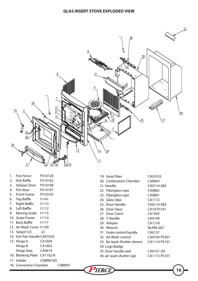

| 2. Ash Baffle  | PS10162 |
|----------------|---------|
| 3. Ashpan Door | PS10108 |
| 4. Fire door   | PS10107 |
| 5. Front Frame | PS10103 |
| 6. Top Baffle  | 11141   |
|                |         |

1. Fire Fence PS10120

- 7. Right Baffle I1113
- 8. Left Baffle 11112
- 9. Moving Grate I1115 10. Grate Frame I1114
- 11. Back Baffle I1111
- 12. Air Wash Cover I1109
- 13. Spigot125 (2)
- 14. Ash Pan HandleCA0105A
- 15. Hinge A CA1604 Hinge B CA1603 Hinge Axia CA0614
- 16. Blanking Plate CA1102-B
- 17. Holder CAWK0105
- 18. Convection Chamber CAWK01

| 19. Axial Fiber             | CAL0103      |
|-----------------------------|--------------|
| 20. Combustion Chamber      | CANK01       |
| 21. Handle                  | CA0114-083   |
| 22. Fiberglass rope         | CA0802       |
| 23. Fiberglass rope         | CA0801       |
| 24. Glass slips             | CA1112       |
| 25. Door Handle             | CA0114-083   |
| 26. Door Glass              | CA10-PS101   |
| 27. Door Catch              | CA1505       |
| 28. T Handle                | CA0109       |
| 29. Ashpan                  | CA1218       |
| 30. Wrench                  | NLFBS-007    |
| 31. Grate control handle    | CA0137       |
| 32. Air Wash control        | CA0104-PS201 |
| 33. Air wash Shutter (down) | CA1114-PS101 |
| 34. Logo Badge              |              |
| 35. Door handle axel        | CA0101-ZH    |
| 36. air wash shutter (up)   | CA1113-PS101 |